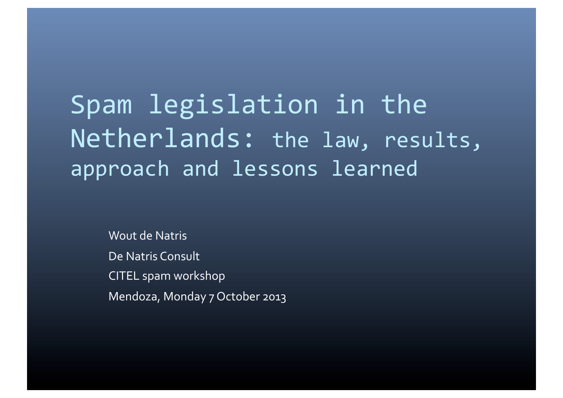Spam legislation in the Netherlands: the law, results, approach and lessons learned

Wout de Natris De Natris Consult CITEL spam workshop Mendoza, Monday 7 October 2013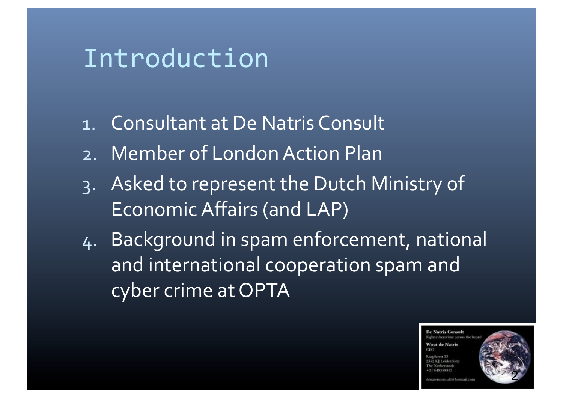### Introduction

- 1. Consultant at De Natris Consult
- 2. Member of London Action Plan
- 3. Asked to represent the Dutch Ministry of Economic Affairs (and LAP)
- 4. Background in spam enforcement, national and international cooperation spam and cyber crime at OPTA

**De Natris Consult** Fight exbercrime across the bo **Wout de Natris** 

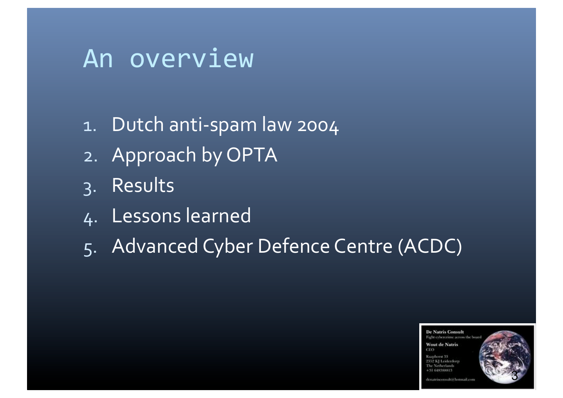### An overview

- 1. Dutch anti-spam law 2004
- 2. Approach by OPTA
- 3. Results
- 4. Lessons learned
- 5. Advanced Cyber Defence Centre (ACDC)

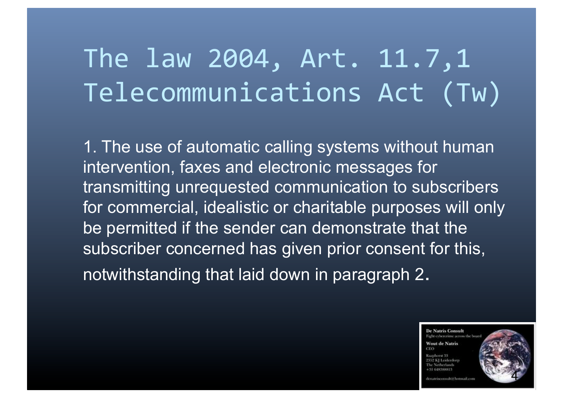# The law 2004, Art. 11.7,1 Telecommunications Act (Tw)

1. The use of automatic calling systems without human intervention, faxes and electronic messages for transmitting unrequested communication to subscribers for commercial, idealistic or charitable purposes will only be permitted if the sender can demonstrate that the subscriber concerned has given prior consent for this, notwithstanding that laid down in paragraph 2.

> **De Natris Consult** Fight cybercrime across the b **Wout de Natris**

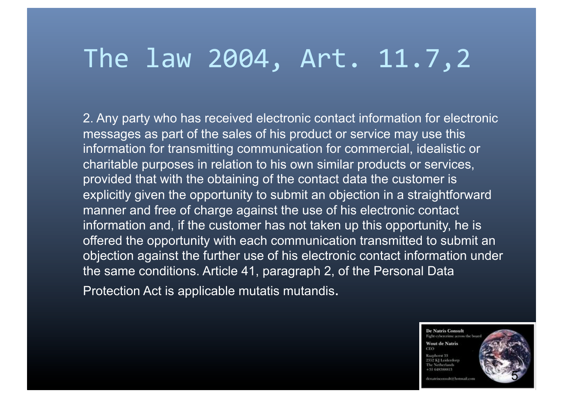### The law 2004, Art. 11.7,2

2. Any party who has received electronic contact information for electronic messages as part of the sales of his product or service may use this information for transmitting communication for commercial, idealistic or charitable purposes in relation to his own similar products or services, provided that with the obtaining of the contact data the customer is explicitly given the opportunity to submit an objection in a straightforward manner and free of charge against the use of his electronic contact information and, if the customer has not taken up this opportunity, he is offered the opportunity with each communication transmitted to submit an objection against the further use of his electronic contact information under the same conditions. Article 41, paragraph 2, of the Personal Data Protection Act is applicable mutatis mutandis.

> **De Natris Consult** Fight cybercrime across the b **Wout de Natris** 2352 KI Leiderdo +31 648388813



ina piccona christ Novembilt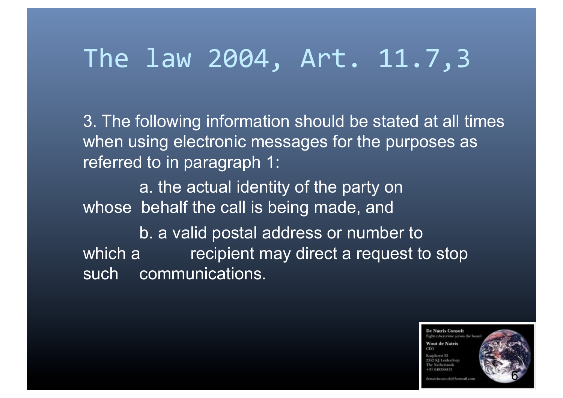### The law 2004, Art. 11.7,3

3. The following information should be stated at all times when using electronic messages for the purposes as referred to in paragraph 1:

a. the actual identity of the party on whose behalf the call is being made, and

 b. a valid postal address or number to which a recipient may direct a request to stop such communications.

> **De Natris Consult** Fight cybercrime across the b **Wout de Natris ST GENSSHOULS**

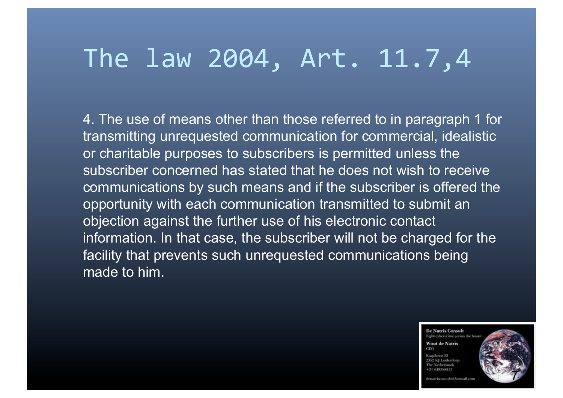### The law 2004, Art. 11.7,4

4. The use of means other than those referred to in paragraph 1 for transmitting unrequested communication for commercial, idealistic or charitable purposes to subscribers is permitted unless the subscriber concerned has stated that he does not wish to receive communications by such means and if the subscriber is offered the opportunity with each communication transmitted to submit an objection against the further use of his electronic contact information. In that case, the subscriber will not be charged for the facility that prevents such unrequested communications being made to him.

> **De Natris Consult** Fight cybercrime across the b

**Wout de Natris** 2352 KI Loidenb 4 TT GENTRICHTS



the company of the language of the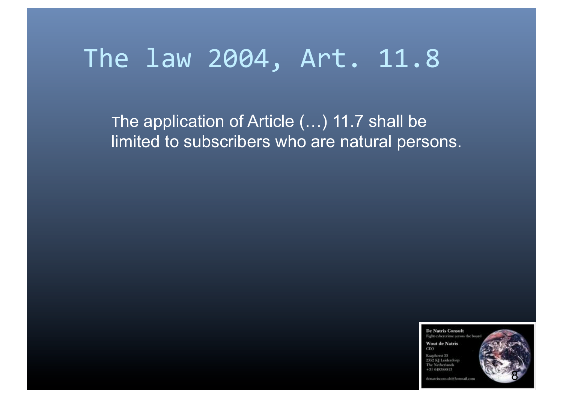### The law 2004, Art. 11.8

 The application of Article (…) 11.7 shall be limited to subscribers who are natural persons.

> **De Natris Consult** Fight cybercrime across the be **Wout de Natris** CEO Rasshawa 32 2352 KI Leidenbor The Netherlands



denatrisconsolti@hotmail.com

 $+31648388813$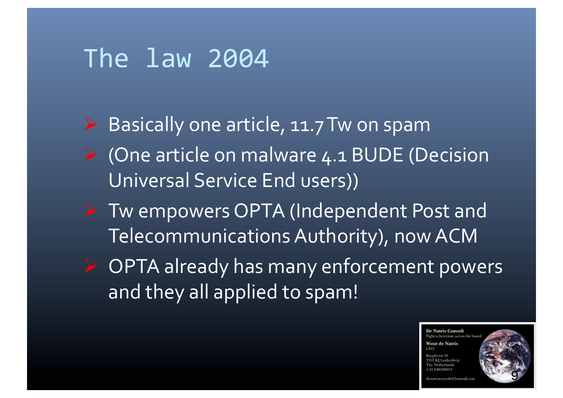### The law 2004

- $\triangleright$  Basically one article, 11.7 Tw on spam
- $\triangleright$  (One article on malware 4.1 BUDE (Decision Universal Service End users))
- ▶ Tw empowers OPTA (Independent Post and Telecommunications Authority), now ACM
- $\triangleright$  OPTA already has many enforcement powers and they all applied to spam!

**De Natris Consult** ight cybercrime across the b **Wout de Natris** 

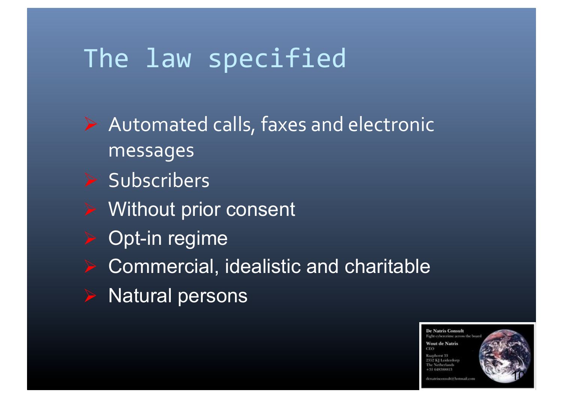- $\triangleright$  Automated calls, faxes and electronic messages
- $\triangleright$  Subscribers
- **▶ Without prior consent**
- $\triangleright$  Opt-in regime
- Commercial, idealistic and charitable
- Natural persons



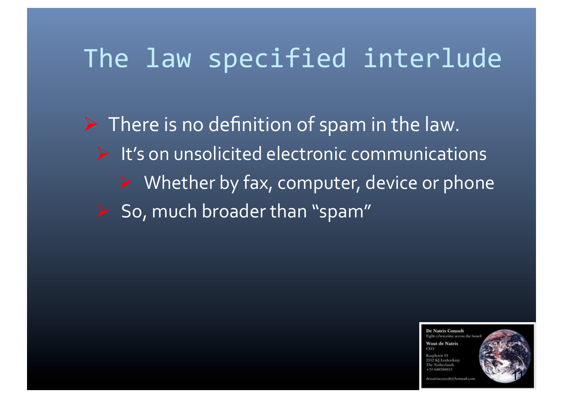# The law specified interlude

 $\triangleright$  There is no definition of spam in the law.  $\triangleright$  It's on unsolicited electronic communications  $\triangleright$  Whether by fax, computer, device or phone  $S$  So, much broader than "spam"

> **De Natris Consult** Fight exherenime across the h **Wout de Natris**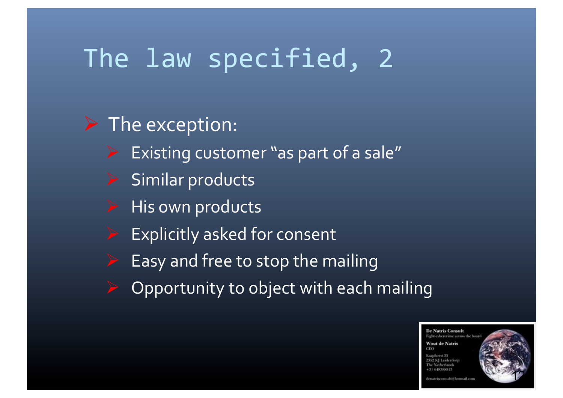### $\triangleright$  The exception:

- Existing customer "as part of a sale"
- Similar products
- His own products
- Explicitly asked for consent
- Easy and free to stop the mailing
- Opportunity to object with each mailing

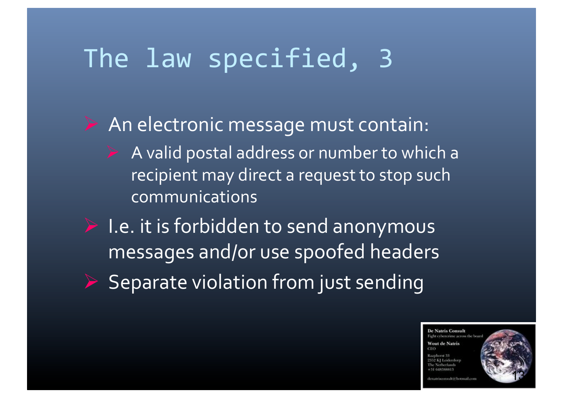$\triangleright$  An electronic message must contain:  $\triangleright$  A valid postal address or number to which a recipient may direct a request to stop such

communications%

 $\blacktriangleright$  I.e. it is forbidden to send anonymous messages and/or use spoofed headers

 $\triangleright$  Separate violation from just sending

**De Natris Consult** light exhererious across the h **Nout de Natris**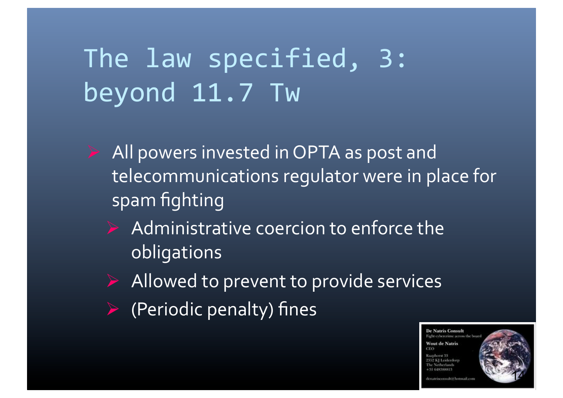# The law specified, 3: beyond 11.7 Tw

- All powers invested in OPTA as post and telecommunications regulator were in place for spam fighting
	- $\triangleright$  Administrative coercion to enforce the obligations
	- $\triangleright$  Allowed to prevent to provide services
	- $\triangleright$  (Periodic penalty) fines

**De Natris Consult** Fight cybercrime across the b **Wout de Natris** 

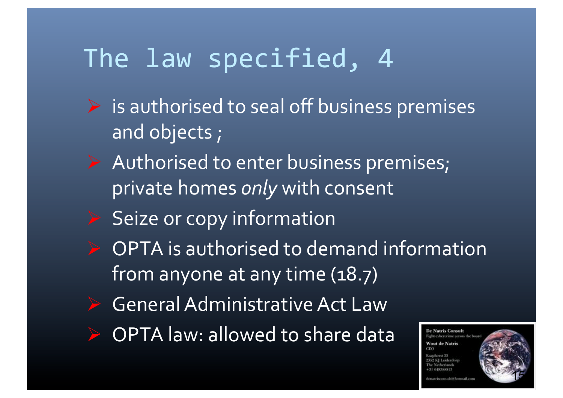- $\triangleright$  is authorised to seal off business premises and objects;
- $\triangleright$  Authorised to enter business premises; private homes *only* with consent
- $\triangleright$  Seize or copy information
- $\triangleright$  OPTA is authorised to demand information from anyone at any time  $(18.7)$
- General Administrative Act Law
- OPTA law: allowed to share data

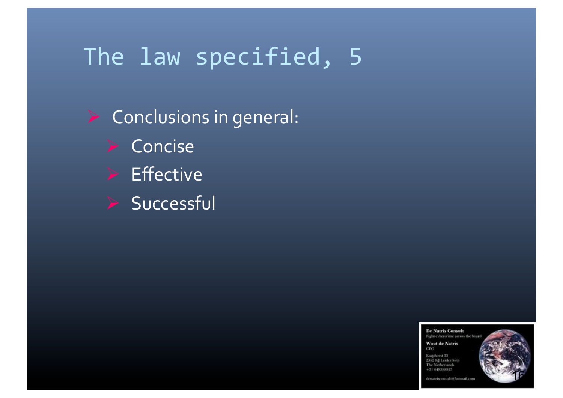$\triangleright$  Conclusions in general:  $\triangleright$  Concise  $\triangleright$  Effective Successful

> **De Natris Consult** Fight cybercrime across the boa **Wout de Natris** CEO Rasphorst 33 2352 KJ Leidenberg The Netherlands  $+31648388813$



denatrisconsultit hormail.com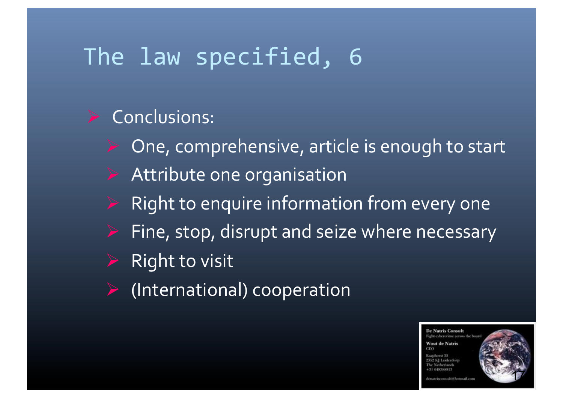#### Conclusions:

- One, comprehensive, article is enough to start
- Attribute one organisation
- Right to enquire information from every one
- Fine, stop, disrupt and seize where necessary
- **Right to visit**
- (International) cooperation

**De Natris Consult** ight cybercrime across the b **Wout de Natris** 

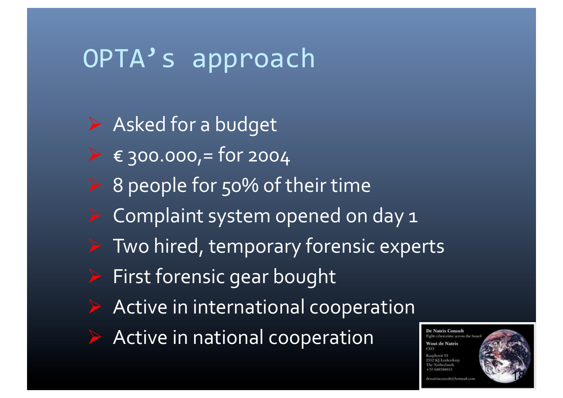### OPTA's approach

 $\triangleright$  Asked for a budget  $\triangleright$   $\in$  300.000, = for 2004  $\triangleright$  8 people for 50% of their time Complaint system opened on day 1 Two hired, temporary forensic experts First forensic gear bought Active in international cooperation  $\triangleright$  Active in national cooperation

**De Natris Consult** ight cybercrime across the b **Wout de Natris**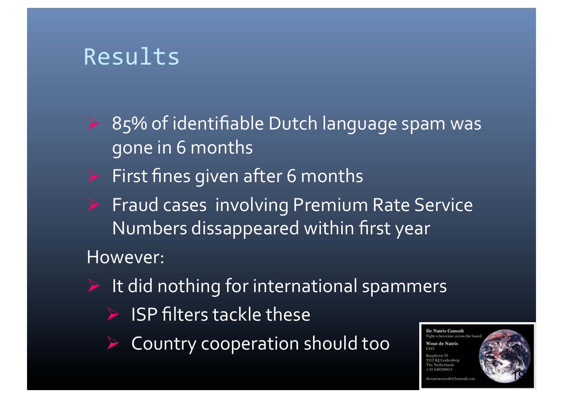### Results

- 85% of identifiable Dutch language spam was gone in 6 months
- $\triangleright$  First fines given after 6 months
- Fraud cases involving Premium Rate Service Numbers dissappeared within first year

#### However:

- $\triangleright$  It did nothing for international spammers
	- $\triangleright$  ISP filters tackle these
	- Country cooperation should too

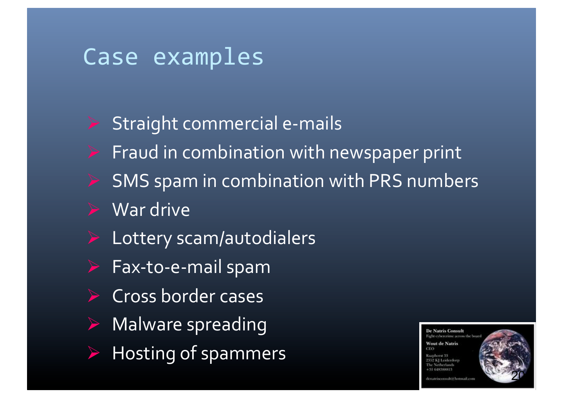### Case examples

- $\triangleright$  Straight commercial e-mails
- Fraud in combination with newspaper print
- SMS spam in combination with PRS numbers
- War drive
- Lottery scam/autodialers
- Fax-to-e-mail spam
- Cross border cases
- Malware spreading
- Hosting of spammers

**De Natris Consult** asht exhercrime across the I **Wout de Natris**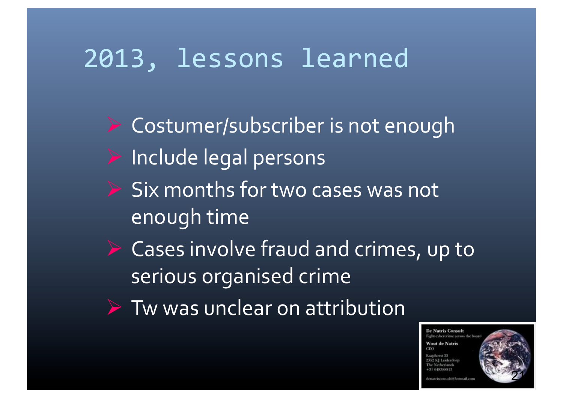## 2013, lessons learned

 $\triangleright$  Costumer/subscriber is not enough  $\blacktriangleright$  Include legal persons  $S$  ix months for two cases was not enough time  $\triangleright$  Cases involve fraud and crimes, up to serious organised crime  $\triangleright$  Tw was unclear on attribution

> **De Natris Consult** light exhererious across the li-**Nout de Natris**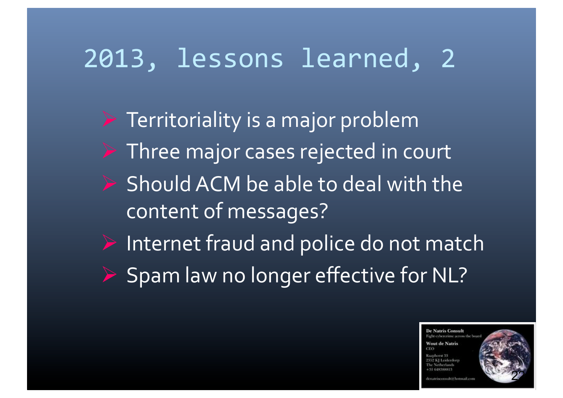## 2013, lessons learned, 2

 $\triangleright$  Territoriality is a major problem  $\triangleright$  Three major cases rejected in court  $\triangleright$  Should ACM be able to deal with the content of messages?  $\blacktriangleright$  Internet fraud and police do not match  $\triangleright$  Spam law no longer effective for NL?

> **De Natris Consult** light exhererious across the li-**Nout de Natris**

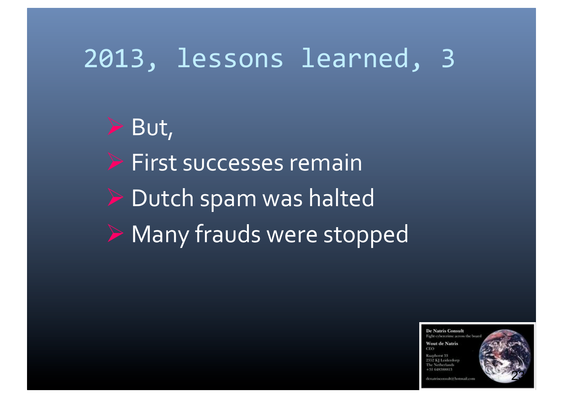### 2013, lessons learned, 3

 $\triangleright$  But,  $\triangleright$  First successes remain  $\triangleright$  Dutch spam was halted  $\triangleright$  Many frauds were stopped

> **De Natris Consult** Fight cybercrime across the be **Wout de Natris**  $CFO$ 9359 KI Lolderdo +31 648388813



matrisconsultiif hormail as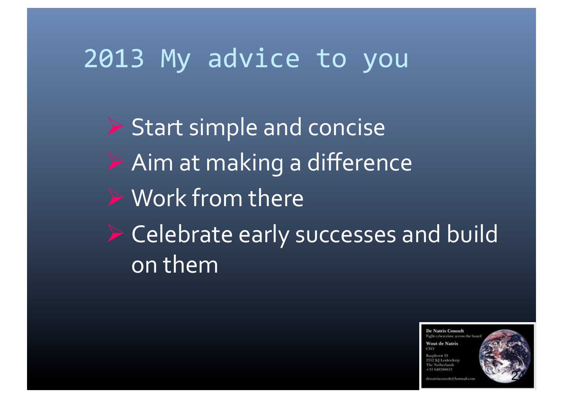### 2013 My advice to you

 $\triangleright$  Start simple and concise  $\triangleright$  Aim at making a difference  $\triangleright$  Work from there  $\triangleright$  Celebrate early successes and build on them

> **De Natris Consult** Fight cybercrime across the be **Wout de Natris ST GENSSHOULS**

24

Announced Village and Lands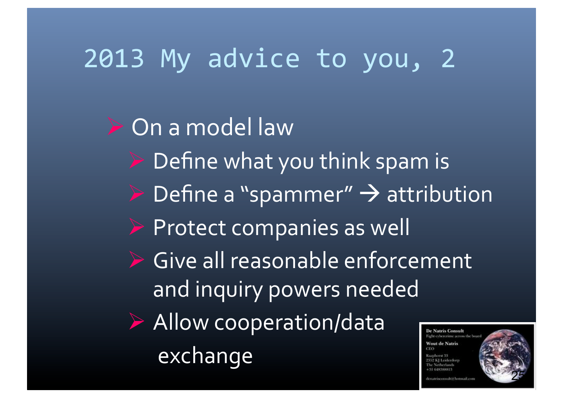# 2013 My advice to you, 2

 $\triangleright$  On a model law

- $\triangleright$  Define what you think spam is
- $\triangleright$  Define a "spammer"  $\rightarrow$  attribution
- $\triangleright$  Protect companies as well
- $\triangleright$  Give all reasonable enforcement and inquiry powers needed
- $\triangleright$  Allow cooperation/data exchange

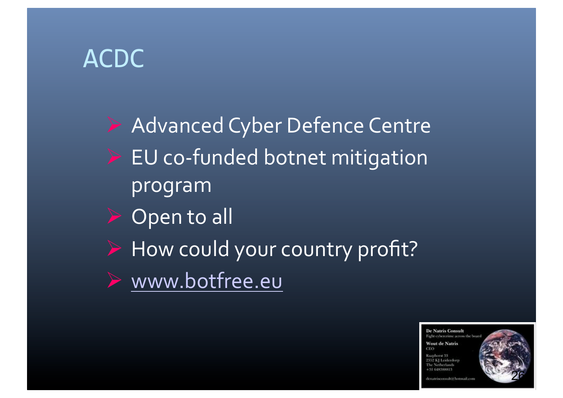### ACDC%

 $\blacktriangleright$  Advanced Cyber Defence Centre  $\triangleright$  EU co-funded botnet mitigation program% Open to all How could your country profit? www.botfree.eu

> **De Natris Consult** Fight cybercrime across the be **Wout de Natris** CEO 2352 KI Leiderdor The Netherland +31 648388813



lenatrisconsultiti hermail.com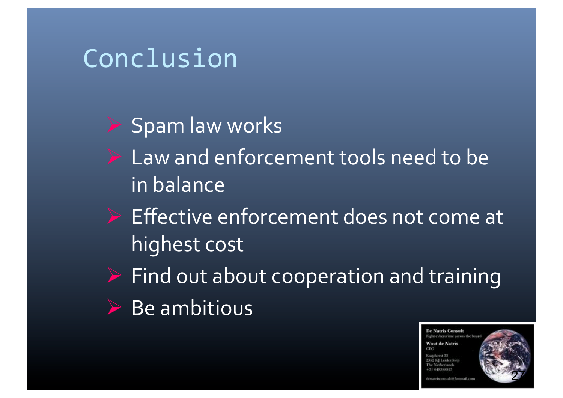### Conclusion%

 $\triangleright$  Spam law works

- $\triangleright$  Law and enforcement tools need to be in balance
- $\triangleright$  Effective enforcement does not come at highest cost
- $\triangleright$  Find out about cooperation and training
- $\triangleright$  Be ambitious

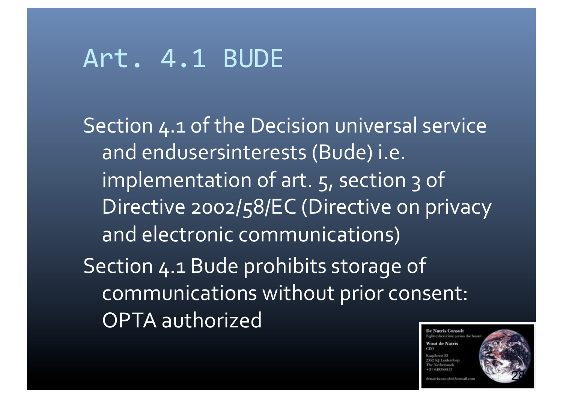### Art.%4.1%BUDE%

Section 4.1 of the Decision universal service and endusersinterests (Bude) i.e. implementation of art.  $5$ , section 3 of Directive 2002/58/EC (Directive on privacy and electronic communications) Section 4.1 Bude prohibits storage of communications without prior consent: OPTA authorized **De Natris Consult** 

ight cybercrime across the b **Nout de Natris** 

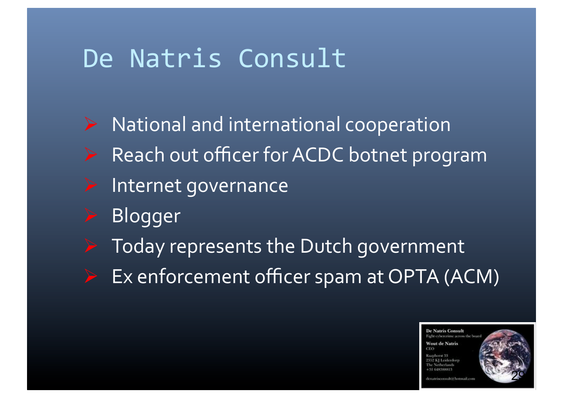### De Natris Consult

- $\triangleright$  National and international cooperation
- Reach out officer for ACDC botnet program
- $\blacktriangleright$  Internet governance
- Blogger
- Today represents the Dutch government
- Ex enforcement officer spam at OPTA (ACM)

**De Natris Consult** light cybercrime across the b **Nout de Natris** 29